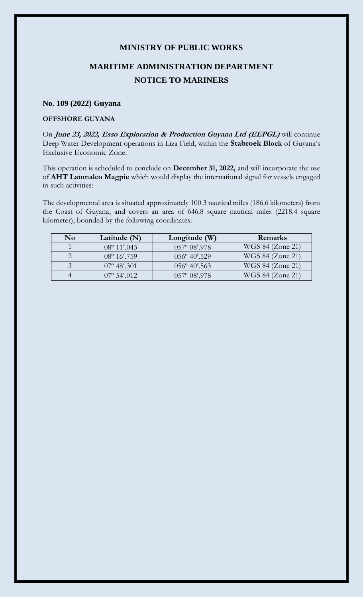## **MINISTRY OF PUBLIC WORKS**

## **MARITIME ADMINISTRATION DEPARTMENT NOTICE TO MARINERS**

## **No. 109 (2022) Guyana**

## **OFFSHORE GUYANA**

On **June 23, 2022, Esso Exploration & Production Guyana Ltd (EEPGL)** will continue Deep Water Development operations in Liza Field, within the **Stabroek Block** of Guyana's Exclusive Economic Zone.

This operation is scheduled to conclude on **December 31, 2022,** and will incorporate the use of **AHT Lamnalco Magpie** which would display the international signal for vessels engaged in such activities:

The developmental area is situated approximately 100.3 nautical miles (186.6 kilometers) from the Coast of Guyana, and covers an area of 646.8 square nautical miles (2218.4 square kilometer); bounded by the following coordinates:

| No | Latitude $(N)$         | Longitude $(W)$         | <b>Remarks</b>   |
|----|------------------------|-------------------------|------------------|
|    | $08^{\circ} 11' . 043$ | $057^{\circ}08'$ .978   | WGS 84 (Zone 21) |
|    | $08^{\circ} 16'$ .759  | $056^{\circ}$ 40'.529   | WGS 84 (Zone 21) |
|    | $07^{\circ}$ 48'.301   | $056^{\circ}$ 40'.563   | WGS 84 (Zone 21) |
|    | $07^{\circ}$ 54', 012  | $057^{\circ}$ $08'$ 978 | WGS 84 (Zone 21) |